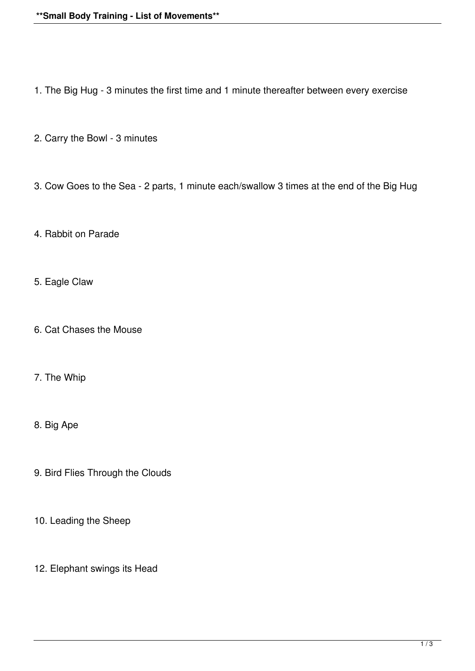- 1. The Big Hug 3 minutes the first time and 1 minute thereafter between every exercise
- 2. Carry the Bowl 3 minutes
- 3. Cow Goes to the Sea 2 parts, 1 minute each/swallow 3 times at the end of the Big Hug
- 4. Rabbit on Parade
- 5. Eagle Claw
- 6. Cat Chases the Mouse
- 7. The Whip
- 8. Big Ape
- 9. Bird Flies Through the Clouds
- 10. Leading the Sheep
- 12. Elephant swings its Head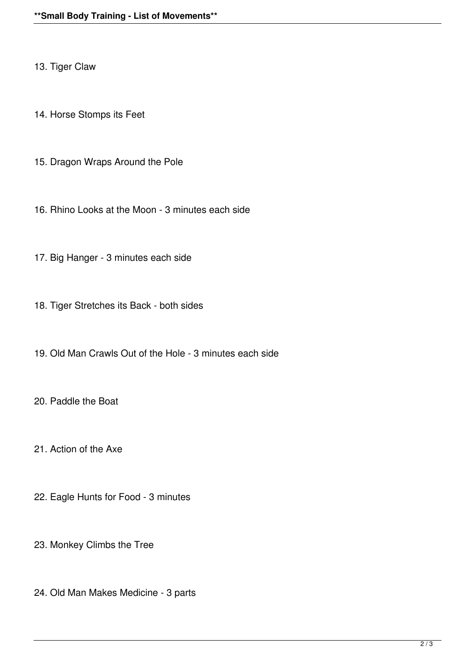13. Tiger Claw

14. Horse Stomps its Feet

15. Dragon Wraps Around the Pole

16. Rhino Looks at the Moon - 3 minutes each side

17. Big Hanger - 3 minutes each side

18. Tiger Stretches its Back - both sides

19. Old Man Crawls Out of the Hole - 3 minutes each side

20. Paddle the Boat

21. Action of the Axe

22. Eagle Hunts for Food - 3 minutes

23. Monkey Climbs the Tree

24. Old Man Makes Medicine - 3 parts